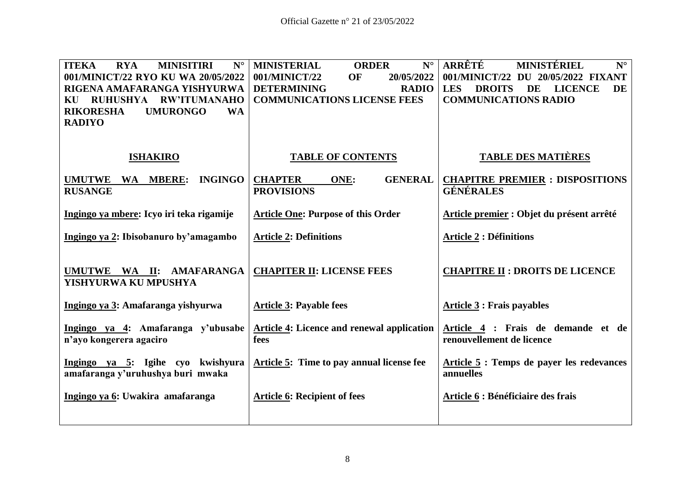| <b>ITEKA</b><br><b>RYA</b><br><b>MINISITIRI</b><br>$N^{\circ}$<br>001/MINICT/22 RYO KU WA 20/05/2022<br>RIGENA AMAFARANGA YISHYURWA<br><b>RW'ITUMANAHO</b><br><b>RUHUSHYA</b><br>KU | <b>MINISTERIAL</b><br>$N^{\circ}$<br><b>ORDER</b><br>20/05/2022<br>001/MINICT/22<br><b>OF</b><br><b>DETERMINING</b><br><b>RADIO</b><br><b>COMMUNICATIONS LICENSE FEES</b> | ARRÊTÉ<br>MINISTÉRIEL<br>$N^{\circ}$<br>001/MINICT/22 DU 20/05/2022 FIXANT<br><b>DROITS</b><br><b>LES</b><br>DE<br><b>LICENCE</b><br>DE<br><b>COMMUNICATIONS RADIO</b> |
|-------------------------------------------------------------------------------------------------------------------------------------------------------------------------------------|---------------------------------------------------------------------------------------------------------------------------------------------------------------------------|------------------------------------------------------------------------------------------------------------------------------------------------------------------------|
| <b>RIKORESHA</b><br><b>UMURONGO</b><br><b>WA</b><br><b>RADIYO</b><br><b>ISHAKIRO</b>                                                                                                | <b>TABLE OF CONTENTS</b>                                                                                                                                                  | <b>TABLE DES MATIÈRES</b>                                                                                                                                              |
|                                                                                                                                                                                     |                                                                                                                                                                           |                                                                                                                                                                        |
| <b>INGINGO</b><br><b>UMUTWE</b><br>WA MBERE:<br><b>RUSANGE</b>                                                                                                                      | <b>CHAPTER</b><br><b>GENERAL</b><br>ONE:<br><b>PROVISIONS</b>                                                                                                             | <b>CHAPITRE PREMIER : DISPOSITIONS</b><br><b>GÉNÉRALES</b>                                                                                                             |
| Ingingo ya mbere: Icyo iri teka rigamije                                                                                                                                            | <b>Article One: Purpose of this Order</b>                                                                                                                                 | Article premier : Objet du présent arrêté                                                                                                                              |
| Ingingo ya 2: Ibisobanuro by'amagambo                                                                                                                                               | <b>Article 2: Definitions</b>                                                                                                                                             | <b>Article 2 : Définitions</b>                                                                                                                                         |
| UMUTWE WA II: AMAFARANGA<br>YISHYURWA KU MPUSHYA                                                                                                                                    | <b>CHAPITER II: LICENSE FEES</b>                                                                                                                                          | <b>CHAPITRE II : DROITS DE LICENCE</b>                                                                                                                                 |
| Ingingo ya 3: Amafaranga yishyurwa                                                                                                                                                  | <b>Article 3: Payable fees</b>                                                                                                                                            | <b>Article 3: Frais payables</b>                                                                                                                                       |
| Ingingo ya 4: Amafaranga y'ubusabe<br>n'ayo kongerera agaciro                                                                                                                       | <b>Article 4: Licence and renewal application</b><br>fees                                                                                                                 | Article 4 : Frais de demande et de<br>renouvellement de licence                                                                                                        |
| Ingingo ya 5: Igihe cyo kwishyura<br>amafaranga y'uruhushya buri mwaka                                                                                                              | Article 5: Time to pay annual license fee                                                                                                                                 | Article 5 : Temps de payer les redevances<br>annuelles                                                                                                                 |
| Ingingo ya 6: Uwakira amafaranga                                                                                                                                                    | <b>Article 6: Recipient of fees</b>                                                                                                                                       | Article 6 : Bénéficiaire des frais                                                                                                                                     |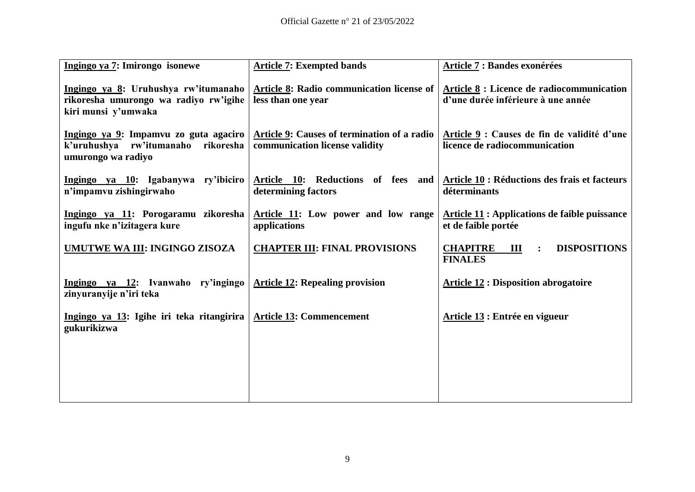| Ingingo ya 7: Imirongo isonewe                                                                       | <b>Article 7: Exempted bands</b>                                              | Article 7 : Bandes exonérées                                                                                                                |
|------------------------------------------------------------------------------------------------------|-------------------------------------------------------------------------------|---------------------------------------------------------------------------------------------------------------------------------------------|
| Ingingo ya 8: Uruhushya rw'itumanaho<br>rikoresha umurongo wa radiyo rw'igihe<br>kiri munsi y'umwaka | Article 8: Radio communication license of<br>less than one year               | Article 8 : Licence de radiocommunication<br>d'une durée inférieure à une année                                                             |
| Ingingo ya 9: Impamvu zo guta agaciro<br>k'uruhushya rw'itumanaho<br>rikoresha<br>umurongo wa radiyo | Article 9: Causes of termination of a radio<br>communication license validity | Article 9 : Causes de fin de validité d'une<br>licence de radiocommunication                                                                |
| Ingingo ya 10: Igabanywa ry'ibiciro<br>n'impamvu zishingirwaho                                       | determining factors                                                           | Article $\overline{10}$ : Reductions of fees and $\overline{Ar}$ Article $\overline{10}$ : Réductions des frais et facteurs<br>déterminants |
| Ingingo ya 11: Porogaramu zikoresha<br>ingufu nke n'izitagera kure                                   | Article 11: Low power and low range<br>applications                           | <b>Article 11 : Applications de faible puissance</b><br>et de faible portée                                                                 |
| UMUTWE WA III: INGINGO ZISOZA                                                                        | <b>CHAPTER III: FINAL PROVISIONS</b>                                          | <b>CHAPITRE</b><br><b>DISPOSITIONS</b><br>Ш<br>$\ddot{\cdot}$<br><b>FINALES</b>                                                             |
| Ingingo ya 12: Ivanwaho ry'ingingo<br>zinyuranyije n'iri teka                                        | <b>Article 12: Repealing provision</b>                                        | <b>Article 12 : Disposition abrogatoire</b>                                                                                                 |
| Ingingo ya 13: Igihe iri teka ritangirira<br>gukurikizwa                                             | <b>Article 13: Commencement</b>                                               | Article 13 : Entrée en vigueur                                                                                                              |
|                                                                                                      |                                                                               |                                                                                                                                             |
|                                                                                                      |                                                                               |                                                                                                                                             |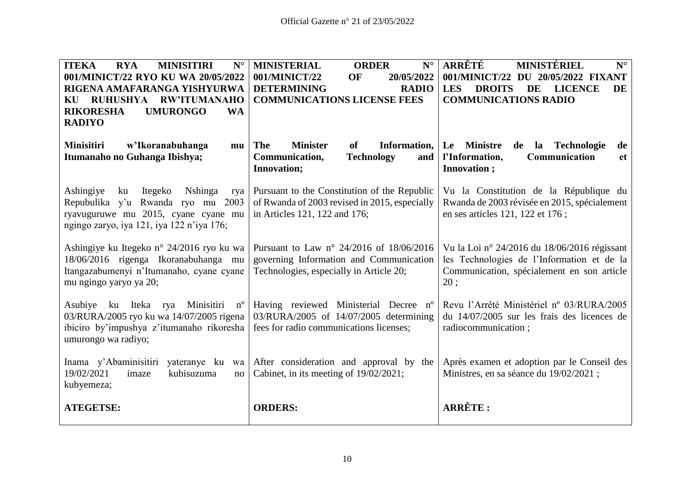| <b>ITEKA</b><br><b>RYA</b><br><b>MINISITIRI</b><br>$N^{\circ}$<br>001/MINICT/22 RYO KU WA 20/05/2022<br>RIGENA AMAFARANGA YISHYURWA<br><b>RUHUSHYA</b><br><b>RW'ITUMANAHO</b><br>KU<br><b>RIKORESHA</b><br><b>UMURONGO</b><br><b>WA</b><br><b>RADIYO</b> | <b>MINISTERIAL</b><br><b>ORDER</b><br>$N^{\circ}$<br>001/MINICT/22<br>OF<br>20/05/2022<br><b>DETERMINING</b><br><b>RADIO</b><br><b>COMMUNICATIONS LICENSE FEES</b> | ARRÊTÉ<br><b>MINISTÉRIEL</b><br>$N^{\circ}$<br>001/MINICT/22 DU 20/05/2022 FIXANT<br><b>DROITS</b><br><b>LES</b><br>DE<br><b>LICENCE</b><br><b>DE</b><br><b>COMMUNICATIONS RADIO</b> |
|----------------------------------------------------------------------------------------------------------------------------------------------------------------------------------------------------------------------------------------------------------|--------------------------------------------------------------------------------------------------------------------------------------------------------------------|--------------------------------------------------------------------------------------------------------------------------------------------------------------------------------------|
| <b>Minisitiri</b><br>w'Ikoranabuhanga<br>mu<br>Itumanaho no Guhanga Ibishya;                                                                                                                                                                             | The<br><b>Minister</b><br>Information,<br><b>of</b><br><b>Technology</b><br>Communication,<br>and<br><b>Innovation;</b>                                            | Le Ministre<br><b>Technologie</b><br>de<br>la<br>de<br>l'Information,<br>Communication<br><b>et</b><br>Innovation;                                                                   |
| Ashingiye<br>Itegeko<br><b>N</b> shinga<br>ku<br>rya<br>Repubulika y'u Rwanda ryo mu 2003<br>ryavuguruwe mu 2015, cyane cyane mu<br>ngingo zaryo, iya 121, iya 122 n'iya 176;                                                                            | Pursuant to the Constitution of the Republic<br>of Rwanda of 2003 revised in 2015, especially<br>in Articles 121, 122 and 176;                                     | Vu la Constitution de la République du<br>Rwanda de 2003 révisée en 2015, spécialement<br>en ses articles 121, 122 et 176;                                                           |
| Ashingiye ku Itegeko n° 24/2016 ryo ku wa<br>18/06/2016 rigenga Ikoranabuhanga mu<br>Itangazabumenyi n'Itumanaho, cyane cyane<br>mu ngingo yaryo ya 20;                                                                                                  | Pursuant to Law n° 24/2016 of 18/06/2016<br>governing Information and Communication<br>Technologies, especially in Article 20;                                     | Vu la Loi nº 24/2016 du 18/06/2016 régissant<br>les Technologies de l'Information et de la<br>Communication, spécialement en son article<br>20:                                      |
| ku Iteka rya<br>Minisitiri<br>Asubiye<br>$n^{\rm o}$<br>03/RURA/2005 ryo ku wa 14/07/2005 rigena<br>ibiciro by'impushya z'itumanaho rikoresha<br>umurongo wa radiyo;                                                                                     | Having reviewed Ministerial Decree n°<br>03/RURA/2005 of 14/07/2005 determining<br>fees for radio communications licenses;                                         | Revu l'Arrêté Ministériel nº 03/RURA/2005<br>du 14/07/2005 sur les frais des licences de<br>radiocommunication;                                                                      |
| Inama y'Abaminisitiri<br>yateranye ku wa<br>19/02/2021<br>kubisuzuma<br>imaze<br>no<br>kubyemeza;                                                                                                                                                        | After consideration and approval by the<br>Cabinet, in its meeting of 19/02/2021;                                                                                  | Après examen et adoption par le Conseil des<br>Ministres, en sa séance du 19/02/2021 ;                                                                                               |
| <b>ATEGETSE:</b>                                                                                                                                                                                                                                         | <b>ORDERS:</b>                                                                                                                                                     | ARRÊTE:                                                                                                                                                                              |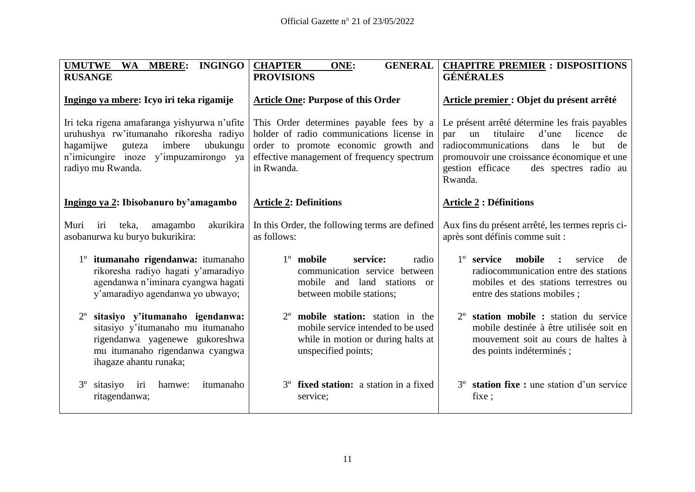| <b>INGINGO</b><br><b>UMUTWE</b><br>WA MBERE:<br><b>RUSANGE</b>                                                                                                                                     | <b>CHAPTER</b><br><b>GENERAL</b><br>ONE:<br><b>PROVISIONS</b>                                                                                                                            | <b>CHAPITRE PREMIER : DISPOSITIONS</b><br><b>GÉNÉRALES</b>                                                                                                                                                                                                  |
|----------------------------------------------------------------------------------------------------------------------------------------------------------------------------------------------------|------------------------------------------------------------------------------------------------------------------------------------------------------------------------------------------|-------------------------------------------------------------------------------------------------------------------------------------------------------------------------------------------------------------------------------------------------------------|
| Ingingo ya mbere: Icyo iri teka rigamije                                                                                                                                                           | <b>Article One: Purpose of this Order</b>                                                                                                                                                | Article premier : Objet du présent arrêté                                                                                                                                                                                                                   |
| Iri teka rigena amafaranga yishyurwa n'ufite<br>uruhushya rw'itumanaho rikoresha radiyo<br>imbere<br>ubukungu<br>hagamijwe<br>guteza<br>n'imicungire inoze y'impuzamirongo ya<br>radiyo mu Rwanda. | This Order determines payable fees by a<br>holder of radio communications license in<br>order to promote economic growth and<br>effective management of frequency spectrum<br>in Rwanda. | Le présent arrêté détermine les frais payables<br>titulaire<br>d'une<br>licence<br>par<br>un<br>de<br>radiocommunications<br>le<br>dans<br>but<br>de<br>promouvoir une croissance économique et une<br>gestion efficace<br>des spectres radio au<br>Rwanda. |
| Ingingo ya 2: Ibisobanuro by'amagambo                                                                                                                                                              | <b>Article 2: Definitions</b>                                                                                                                                                            | <b>Article 2 : Définitions</b>                                                                                                                                                                                                                              |
| teka,<br>amagambo<br>akurikira<br>Muri<br>iri<br>asobanurwa ku buryo bukurikira:                                                                                                                   | In this Order, the following terms are defined<br>as follows:                                                                                                                            | Aux fins du présent arrêté, les termes repris ci-<br>après sont définis comme suit :                                                                                                                                                                        |
| 1° itumanaho rigendanwa: itumanaho<br>rikoresha radiyo hagati y'amaradiyo<br>agendanwa n'iminara cyangwa hagati<br>y'amaradiyo agendanwa yo ubwayo;                                                | $1^\circ$ mobile<br>service:<br>radio<br>communication service between<br>mobile and land stations<br>or<br>between mobile stations;                                                     | 1° service<br>mobile<br>service<br>$\cdot$<br>de<br>radiocommunication entre des stations<br>mobiles et des stations terrestres ou<br>entre des stations mobiles;                                                                                           |
| sitasiyo y'itumanaho igendanwa:<br>sitasiyo y'itumanaho mu itumanaho<br>rigendanwa yagenewe gukoreshwa<br>mu itumanaho rigendanwa cyangwa<br>ihagaze ahantu runaka;                                | mobile station: station in the<br>mobile service intended to be used<br>while in motion or during halts at<br>unspecified points;                                                        | station mobile : station du service<br>mobile destinée à être utilisée soit en<br>mouvement soit au cours de haltes à<br>des points indéterminés ;                                                                                                          |
| $3^{\circ}$<br>sitasiyo<br>itumanaho<br>iri<br>hamwe:<br>ritagendanwa;                                                                                                                             | $3^{\circ}$<br>fixed station: a station in a fixed<br>service;                                                                                                                           | station fixe : une station d'un service<br>$3^{\circ}$<br>fixe;                                                                                                                                                                                             |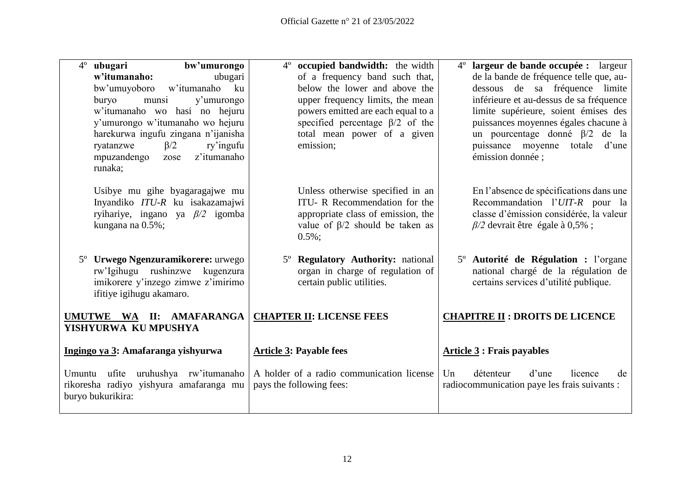| 4 <sup>°</sup> ubugari<br>bw'umurongo   | occupied bandwidth: the width<br>$4^{\circ}$ | 4 <sup>°</sup> largeur de bande occupée : largeur |
|-----------------------------------------|----------------------------------------------|---------------------------------------------------|
| w'itumanaho:<br>ubugari                 | of a frequency band such that,               | de la bande de fréquence telle que, au-           |
| bw'umuyoboro<br>w'itumanaho<br>ku       | below the lower and above the                | dessous de sa fréquence limite                    |
|                                         |                                              |                                                   |
| buryo<br>munsi<br>y'umurongo            | upper frequency limits, the mean             | inférieure et au-dessus de sa fréquence           |
| w'itumanaho wo hasi no hejuru           | powers emitted are each equal to a           | limite supérieure, soient émises des              |
| y'umurongo w'itumanaho wo hejuru        | specified percentage $\beta/2$ of the        | puissances moyennes égales chacune à              |
| harekurwa ingufu zingana n'ijanisha     | total mean power of a given                  | un pourcentage donné $\beta/2$ de la              |
| $\beta/2$<br>ry'ingufu<br>ryatanzwe     | emission;                                    | puissance moyenne totale<br>d'une                 |
| z'itumanaho<br>mpuzandengo<br>zose      |                                              | émission donnée ;                                 |
| runaka;                                 |                                              |                                                   |
|                                         |                                              |                                                   |
| Usibye mu gihe byagaragajwe mu          | Unless otherwise specified in an             | En l'absence de spécifications dans une           |
| Inyandiko ITU-R ku isakazamajwi         | ITU-R Recommendation for the                 | Recommandation l'UIT-R pour la                    |
| ryihariye, ingano ya $\beta/2$ igomba   | appropriate class of emission, the           | classe d'émission considérée, la valeur           |
| kungana na 0.5%;                        | value of $\beta/2$ should be taken as        | $\beta$ /2 devrait être égale à 0,5%;             |
|                                         | $0.5\%$ ;                                    |                                                   |
|                                         |                                              |                                                   |
| Urwego Ngenzuramikorere: urwego         | 5° Regulatory Authority: national            | 5 <sup>°</sup> Autorité de Régulation : l'organe  |
| rw'Igihugu rushinzwe kugenzura          | organ in charge of regulation of             | national chargé de la régulation de               |
| imikorere y'inzego zimwe z'imirimo      | certain public utilities.                    | certains services d'utilité publique.             |
| ifitiye igihugu akamaro.                |                                              |                                                   |
|                                         |                                              |                                                   |
| UMUTWE WA II: AMAFARANGA                | <b>CHAPTER II: LICENSE FEES</b>              | <b>CHAPITRE II: DROITS DE LICENCE</b>             |
| YISHYURWA KU MPUSHYA                    |                                              |                                                   |
|                                         |                                              |                                                   |
| Ingingo ya 3: Amafaranga yishyurwa      | <b>Article 3: Payable fees</b>               | <b>Article 3: Frais payables</b>                  |
|                                         |                                              |                                                   |
| Umuntu ufite uruhushya rw'itumanaho     | A holder of a radio communication license    | détenteur<br>d'une<br>Un<br>licence<br>de         |
| rikoresha radiyo yishyura amafaranga mu | pays the following fees:                     | radiocommunication paye les frais suivants :      |
| buryo bukurikira:                       |                                              |                                                   |
|                                         |                                              |                                                   |
|                                         |                                              |                                                   |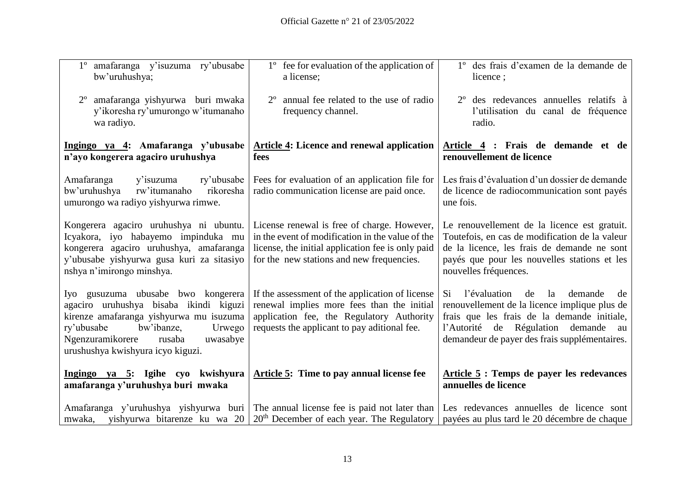| 1° amafaranga y'isuzuma ry'ubusabe<br>bw'uruhushya;                                                                                                                                                                                          | 1° fee for evaluation of the application of<br>a license;                                                                                                                                         | 1° des frais d'examen de la demande de<br>licence;                                                                                                                                                                                       |
|----------------------------------------------------------------------------------------------------------------------------------------------------------------------------------------------------------------------------------------------|---------------------------------------------------------------------------------------------------------------------------------------------------------------------------------------------------|------------------------------------------------------------------------------------------------------------------------------------------------------------------------------------------------------------------------------------------|
| amafaranga yishyurwa buri mwaka<br>y'ikoresha ry'umurongo w'itumanaho<br>wa radiyo.                                                                                                                                                          | annual fee related to the use of radio<br>frequency channel.                                                                                                                                      | 2 <sup>°</sup> des redevances annuelles relatifs à<br>l'utilisation du canal de fréquence<br>radio.                                                                                                                                      |
| Ingingo ya 4: Amafaranga y'ubusabe<br>n'ayo kongerera agaciro uruhushya                                                                                                                                                                      | <b>Article 4: Licence and renewal application</b><br>fees                                                                                                                                         | Article 4 : Frais de demande et de<br>renouvellement de licence                                                                                                                                                                          |
| Amafaranga<br>ry'ubusabe<br>y'isuzuma<br>rikoresha<br>bw'uruhushya<br>rw'itumanaho<br>umurongo wa radiyo yishyurwa rimwe.                                                                                                                    | Fees for evaluation of an application file for<br>radio communication license are paid once.                                                                                                      | Les frais d'évaluation d'un dossier de demande<br>de licence de radiocommunication sont payés<br>une fois.                                                                                                                               |
| Kongerera agaciro uruhushya ni ubuntu.<br>Icyakora, iyo habayemo impinduka mu<br>kongerera agaciro uruhushya, amafaranga<br>y'ubusabe yishyurwa gusa kuri za sitasiyo<br>nshya n'imirongo minshya.                                           | License renewal is free of charge. However,<br>in the event of modification in the value of the<br>license, the initial application fee is only paid<br>for the new stations and new frequencies. | Le renouvellement de la licence est gratuit.<br>Toutefois, en cas de modification de la valeur<br>de la licence, les frais de demande ne sont<br>payés que pour les nouvelles stations et les<br>nouvelles fréquences.                   |
| Iyo gusuzuma ubusabe bwo kongerera<br>agaciro uruhushya bisaba ikindi kiguzi<br>kirenze amafaranga yishyurwa mu isuzuma<br>ry'ubusabe<br>bw'ibanze,<br>Urwego<br>Ngenzuramikorere<br>rusaba<br>uwasabye<br>urushushya kwishyura icyo kiguzi. | If the assessment of the application of license<br>renewal implies more fees than the initial<br>application fee, the Regulatory Authority<br>requests the applicant to pay aditional fee.        | Si.<br>l'évaluation<br>de<br>la<br>demande<br>de<br>renouvellement de la licence implique plus de<br>frais que les frais de la demande initiale,<br>l'Autorité de Régulation demande au<br>demandeur de payer des frais supplémentaires. |
| Ingingo ya 5: Igihe cyo kwishyura<br>amafaranga y'uruhushya buri mwaka                                                                                                                                                                       | Article 5: Time to pay annual license fee                                                                                                                                                         | Article 5 : Temps de payer les redevances<br>annuelles de licence                                                                                                                                                                        |
| mwaka, yishyurwa bitarenze ku wa 20                                                                                                                                                                                                          | Amafaranga y'uruhushya yishyurwa buri The annual license fee is paid not later than<br>$20th$ December of each year. The Regulatory                                                               | Les redevances annuelles de licence sont<br>payées au plus tard le 20 décembre de chaque                                                                                                                                                 |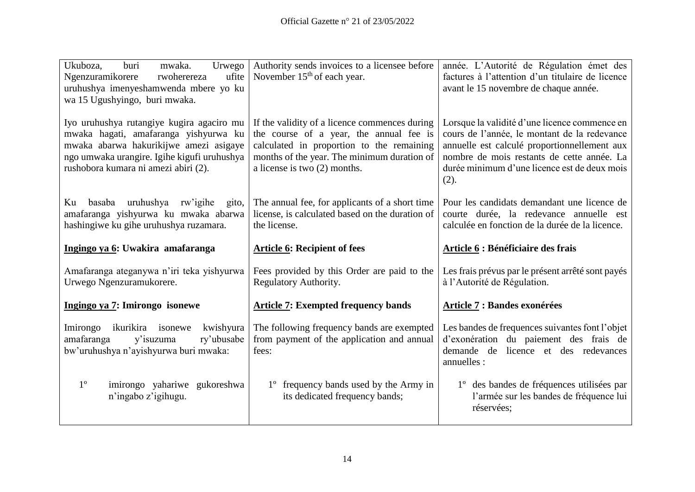| Ukuboza,<br>Urwego<br>buri<br>mwaka.<br>Ngenzuramikorere<br>rwoherereza<br>ufite<br>uruhushya imenyeshamwenda mbere yo ku<br>wa 15 Ugushyingo, buri mwaka.                                                          | Authority sends invoices to a licensee before<br>November $15th$ of each year.                                                                                                                                       | année. L'Autorité de Régulation émet des<br>factures à l'attention d'un titulaire de licence<br>avant le 15 novembre de chaque année.                                                                                                               |
|---------------------------------------------------------------------------------------------------------------------------------------------------------------------------------------------------------------------|----------------------------------------------------------------------------------------------------------------------------------------------------------------------------------------------------------------------|-----------------------------------------------------------------------------------------------------------------------------------------------------------------------------------------------------------------------------------------------------|
| Iyo uruhushya rutangiye kugira agaciro mu<br>mwaka hagati, amafaranga yishyurwa ku<br>mwaka abarwa hakurikijwe amezi asigaye<br>ngo umwaka urangire. Igihe kigufi uruhushya<br>rushobora kumara ni amezi abiri (2). | If the validity of a licence commences during<br>the course of a year, the annual fee is<br>calculated in proportion to the remaining<br>months of the year. The minimum duration of<br>a license is two (2) months. | Lorsque la validité d'une licence commence en<br>cours de l'année, le montant de la redevance<br>annuelle est calculé proportionnellement aux<br>nombre de mois restants de cette année. La<br>durée minimum d'une licence est de deux mois<br>(2). |
| basaba uruhushya rw'igihe<br>gito,<br>Ku<br>amafaranga yishyurwa ku mwaka abarwa<br>hashingiwe ku gihe uruhushya ruzamara.                                                                                          | The annual fee, for applicants of a short time<br>license, is calculated based on the duration of<br>the license.                                                                                                    | Pour les candidats demandant une licence de<br>courte durée, la redevance annuelle est<br>calculée en fonction de la durée de la licence.                                                                                                           |
|                                                                                                                                                                                                                     | <b>Article 6: Recipient of fees</b>                                                                                                                                                                                  | <b>Article 6: Bénéficiaire des frais</b>                                                                                                                                                                                                            |
| Ingingo ya 6: Uwakira amafaranga                                                                                                                                                                                    |                                                                                                                                                                                                                      |                                                                                                                                                                                                                                                     |
| Amafaranga ateganywa n'iri teka yishyurwa<br>Urwego Ngenzuramukorere.                                                                                                                                               | Fees provided by this Order are paid to the<br>Regulatory Authority.                                                                                                                                                 | Les frais prévus par le présent arrêté sont payés<br>à l'Autorité de Régulation.                                                                                                                                                                    |
| Ingingo ya 7: Imirongo isonewe                                                                                                                                                                                      | <b>Article 7: Exempted frequency bands</b>                                                                                                                                                                           | Article 7 : Bandes exonérées                                                                                                                                                                                                                        |
| Imirongo<br>ikurikira isonewe<br>kwishyura<br>ry'ubusabe<br>amafaranga<br>y'isuzuma<br>bw'uruhushya n'ayishyurwa buri mwaka:                                                                                        | The following frequency bands are exempted<br>from payment of the application and annual<br>fees:                                                                                                                    | Les bandes de frequences suivantes font l'objet<br>d'exonération du paiement des frais de<br>demande de licence et des redevances<br>annuelles :                                                                                                    |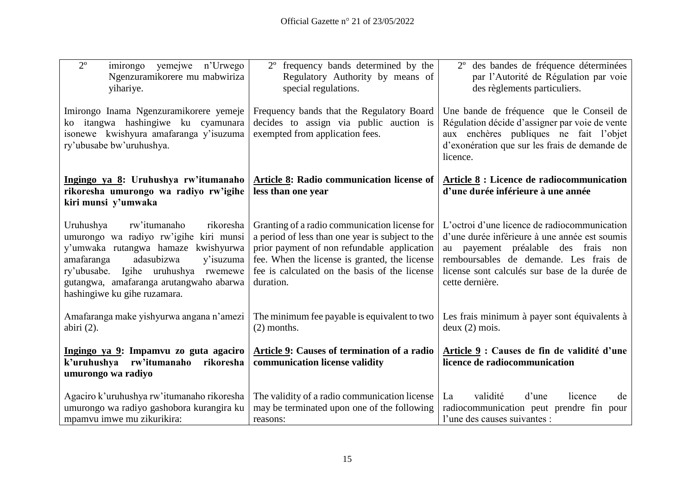| $\overline{2^{\circ}}$<br>imirongo yemejwe n'Urwego<br>Ngenzuramikorere mu mabwiriza<br>yihariye.                                                                                                                                                                                        | 2° frequency bands determined by the<br>Regulatory Authority by means of<br>special regulations.                                                                                                                                                                | 2 <sup>°</sup> des bandes de fréquence déterminées<br>par l'Autorité de Régulation par voie<br>des règlements particuliers.                                                                                                                        |
|------------------------------------------------------------------------------------------------------------------------------------------------------------------------------------------------------------------------------------------------------------------------------------------|-----------------------------------------------------------------------------------------------------------------------------------------------------------------------------------------------------------------------------------------------------------------|----------------------------------------------------------------------------------------------------------------------------------------------------------------------------------------------------------------------------------------------------|
| Imirongo Inama Ngenzuramikorere yemeje<br>ko itangwa hashingiwe ku cyamunara<br>isonewe kwishyura amafaranga y'isuzuma<br>ry'ubusabe bw'uruhushya.                                                                                                                                       | Frequency bands that the Regulatory Board<br>decides to assign via public auction is<br>exempted from application fees.                                                                                                                                         | Une bande de fréquence que le Conseil de<br>Régulation décide d'assigner par voie de vente<br>aux enchères publiques ne fait l'objet<br>d'exonération que sur les frais de demande de<br>licence.                                                  |
| Ingingo ya 8: Uruhushya rw'itumanaho<br>rikoresha umurongo wa radiyo rw'igihe<br>kiri munsi y'umwaka                                                                                                                                                                                     | Article 8: Radio communication license of<br>less than one year                                                                                                                                                                                                 | Article 8 : Licence de radiocommunication<br>d'une durée inférieure à une année                                                                                                                                                                    |
| Uruhushya<br>rw'itumanaho<br>rikoresha<br>umurongo wa radiyo rw'igihe kiri munsi<br>y'umwaka rutangwa hamaze kwishyurwa<br>adasubizwa<br>amafaranga<br>y'isuzuma<br>Igihe uruhushya<br>ry'ubusabe.<br>rwemewe<br>gutangwa, amafaranga arutangwaho abarwa<br>hashingiwe ku gihe ruzamara. | Granting of a radio communication license for<br>a period of less than one year is subject to the<br>prior payment of non refundable application<br>fee. When the license is granted, the license<br>fee is calculated on the basis of the license<br>duration. | L'octroi d'une licence de radiocommunication<br>d'une durée inférieure à une année est soumis<br>au payement préalable des frais non<br>remboursables de demande. Les frais de<br>license sont calculés sur base de la durée de<br>cette dernière. |
| Amafaranga make yishyurwa angana n'amezi<br>abiri $(2)$ .                                                                                                                                                                                                                                | The minimum fee payable is equivalent to two<br>$(2)$ months.                                                                                                                                                                                                   | Les frais minimum à payer sont équivalents à<br>deux(2) mois.                                                                                                                                                                                      |
| Ingingo ya 9: Impamvu zo guta agaciro<br>k'uruhushya rw'itumanaho<br>rikoresha<br>umurongo wa radiyo                                                                                                                                                                                     | Article 9: Causes of termination of a radio<br>communication license validity                                                                                                                                                                                   | Article 9 : Causes de fin de validité d'une<br>licence de radiocommunication                                                                                                                                                                       |
| Agaciro k'uruhushya rw'itumanaho rikoresha<br>umurongo wa radiyo gashobora kurangira ku<br>mpamvu imwe mu zikurikira:                                                                                                                                                                    | The validity of a radio communication license<br>may be terminated upon one of the following<br>reasons:                                                                                                                                                        | validité<br>d'une<br>licence<br>La<br>de<br>radiocommunication peut prendre fin pour<br>l'une des causes suivantes :                                                                                                                               |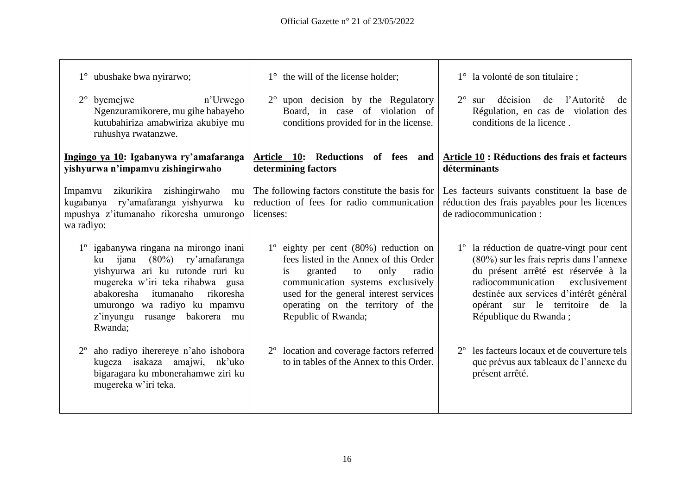$\overline{\phantom{a}}$ 

| $1^{\circ}$ ubushake bwa nyirarwo;<br>$2^{\circ}$ byemejwe<br>n'Urwego<br>Ngenzuramikorere, mu gihe habayeho<br>kutubahiriza amabwiriza akubiye mu                                                                                                                                  | $1^{\circ}$ the will of the license holder;<br>$2^{\circ}$ upon decision by the Regulatory<br>Board, in case of violation of<br>conditions provided for in the license.                                                                                                     | 1° la volonté de son titulaire;<br>décision de l'Autorité<br>$2^{\circ}$ sur<br>de<br>Régulation, en cas de violation des<br>conditions de la licence.                                                                                                                     |
|-------------------------------------------------------------------------------------------------------------------------------------------------------------------------------------------------------------------------------------------------------------------------------------|-----------------------------------------------------------------------------------------------------------------------------------------------------------------------------------------------------------------------------------------------------------------------------|----------------------------------------------------------------------------------------------------------------------------------------------------------------------------------------------------------------------------------------------------------------------------|
| ruhushya rwatanzwe.<br>Ingingo ya 10: Igabanywa ry'amafaranga<br>yishyurwa n'impamvu zishingirwaho                                                                                                                                                                                  | Article 10: Reductions<br>of fees<br>and<br>determining factors                                                                                                                                                                                                             | Article 10 : Réductions des frais et facteurs<br>déterminants                                                                                                                                                                                                              |
| zikurikira zishingirwaho<br>Impamvu<br>mu<br>kugabanya ry'amafaranga yishyurwa<br>ku<br>mpushya z'itumanaho rikoresha umurongo<br>wa radiyo:                                                                                                                                        | The following factors constitute the basis for<br>reduction of fees for radio communication<br>licenses:                                                                                                                                                                    | Les facteurs suivants constituent la base de<br>réduction des frais payables pour les licences<br>de radiocommunication :                                                                                                                                                  |
| 1º igabanywa ringana na mirongo inani<br>$(80\%)$<br>ry'amafaranga<br>ijana<br>ku<br>yishyurwa ari ku rutonde ruri ku<br>mugereka w'iri teka rihabwa gusa<br>rikoresha<br>abakoresha<br>itumanaho<br>umurongo wa radiyo ku mpamvu<br>z'inyungu<br>rusange bakorera<br>mu<br>Rwanda; | $1^{\circ}$ eighty per cent (80%) reduction on<br>fees listed in the Annex of this Order<br>granted<br>only<br>radio<br>is<br>to<br>communication systems exclusively<br>used for the general interest services<br>operating on the territory of the<br>Republic of Rwanda; | 1° la réduction de quatre-vingt pour cent<br>(80%) sur les frais repris dans l'annexe<br>du présent arrêté est réservée à la<br>radiocommunication<br>exclusivement<br>destinée aux services d'intérêt général<br>opérant sur le territoire de la<br>République du Rwanda; |
| aho radiyo iherereye n'aho ishobora<br>$2^{\circ}$<br>kugeza isakaza amajwi,<br>nk'uko<br>bigaragara ku mbonerahamwe ziri ku<br>mugereka w'iri teka.                                                                                                                                | 2 <sup>°</sup> location and coverage factors referred<br>to in tables of the Annex to this Order.                                                                                                                                                                           | les facteurs locaux et de couverture tels<br>$2^{\circ}$<br>que prévus aux tableaux de l'annexe du<br>présent arrêté.                                                                                                                                                      |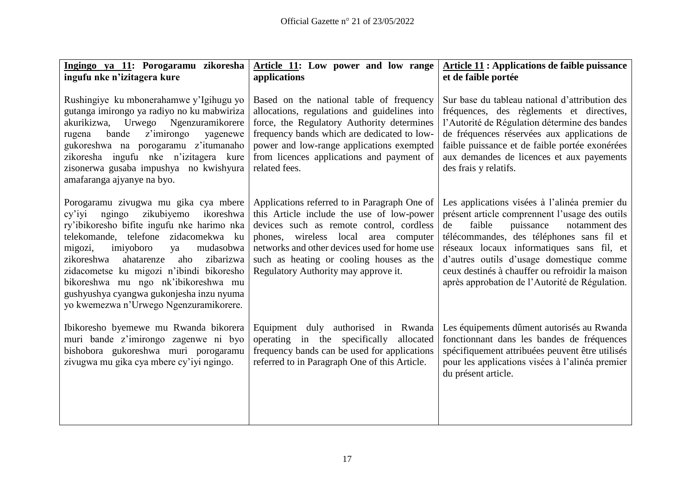| Ingingo ya 11: Porogaramu zikoresha<br>ingufu nke n'izitagera kure                                                                                                                                                                                                                                                                                                                                                                   | Article 11: Low power and low range<br>applications                                                                                                                                                                                                                                                                  | <b>Article 11: Applications de faible puissance</b><br>et de faible portée                                                                                                                                                                                                                                                                                                               |
|--------------------------------------------------------------------------------------------------------------------------------------------------------------------------------------------------------------------------------------------------------------------------------------------------------------------------------------------------------------------------------------------------------------------------------------|----------------------------------------------------------------------------------------------------------------------------------------------------------------------------------------------------------------------------------------------------------------------------------------------------------------------|------------------------------------------------------------------------------------------------------------------------------------------------------------------------------------------------------------------------------------------------------------------------------------------------------------------------------------------------------------------------------------------|
| Rushingiye ku mbonerahamwe y'Igihugu yo<br>gutanga imirongo ya radiyo no ku mabwiriza<br>akurikizwa, Urwego Ngenzuramikorere<br>bande<br>z'imirongo<br>rugena<br>yagenewe<br>gukoreshwa na porogaramu z'itumanaho<br>zikoresha ingufu nke n'izitagera kure<br>zisonerwa gusaba impushya no kwishyura<br>amafaranga ajyanye na byo.                                                                                                   | Based on the national table of frequency<br>allocations, regulations and guidelines into<br>force, the Regulatory Authority determines<br>frequency bands which are dedicated to low-<br>power and low-range applications exempted<br>from licences applications and payment of<br>related fees.                     | Sur base du tableau national d'attribution des<br>fréquences, des règlements et directives,<br>l'Autorité de Régulation détermine des bandes<br>de fréquences réservées aux applications de<br>faible puissance et de faible portée exonérées<br>aux demandes de licences et aux payements<br>des frais y relatifs.                                                                      |
| Porogaramu zivugwa mu gika cya mbere<br>cy'iyi ngingo zikubiyemo<br>ikoreshwa<br>ry'ibikoresho bifite ingufu nke harimo nka<br>telekomande, telefone zidacomekwa ku<br>migozi,<br>imiyoboro<br>mudasobwa<br>ya<br>aho zibarizwa<br>zikoreshwa<br>ahatarenze<br>zidacometse ku migozi n'ibindi bikoresho<br>bikoreshwa mu ngo nk'ibikoreshwa mu<br>gushyushya cyangwa gukonjesha inzu nyuma<br>yo kwemezwa n'Urwego Ngenzuramikorere. | Applications referred to in Paragraph One of<br>this Article include the use of low-power<br>devices such as remote control, cordless<br>phones, wireless local<br>area computer<br>networks and other devices used for home use<br>such as heating or cooling houses as the<br>Regulatory Authority may approve it. | Les applications visées à l'alinéa premier du<br>présent article comprennent l'usage des outils<br>puissance<br>faible<br>notamment des<br>de<br>télécommandes, des téléphones sans fil et<br>réseaux locaux informatiques sans fil, et<br>d'autres outils d'usage domestique comme<br>ceux destinés à chauffer ou refroidir la maison<br>après approbation de l'Autorité de Régulation. |
| Ibikoresho byemewe mu Rwanda bikorera<br>muri bande z'imirongo zagenwe ni byo<br>bishobora gukoreshwa muri porogaramu<br>zivugwa mu gika cya mbere cy'iyi ngingo.                                                                                                                                                                                                                                                                    | Equipment duly authorised in Rwanda<br>operating in the specifically allocated<br>frequency bands can be used for applications<br>referred to in Paragraph One of this Article.                                                                                                                                      | Les équipements dûment autorisés au Rwanda<br>fonctionnant dans les bandes de fréquences<br>spécifiquement attribuées peuvent être utilisés<br>pour les applications visées à l'alinéa premier<br>du présent article.                                                                                                                                                                    |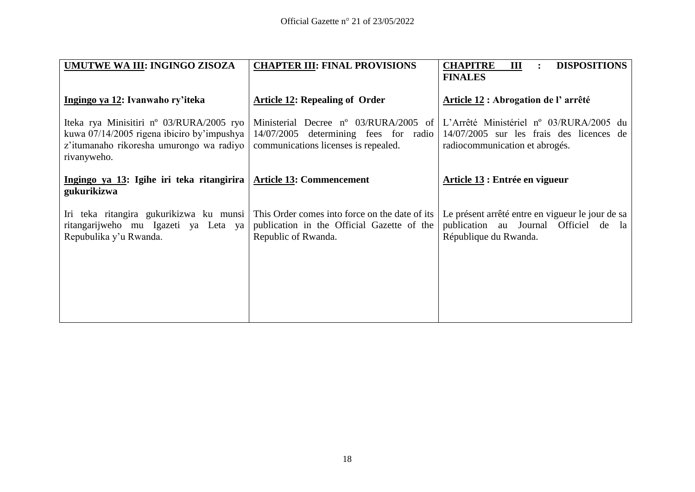| UMUTWE WA III: INGINGO ZISOZA                                                                                                                                 | <b>CHAPTER III: FINAL PROVISIONS</b>                                                                                   | <b>CHAPITRE</b><br>Ш<br><b>DISPOSITIONS</b><br>$\ddot{\cdot}$<br><b>FINALES</b>                                       |
|---------------------------------------------------------------------------------------------------------------------------------------------------------------|------------------------------------------------------------------------------------------------------------------------|-----------------------------------------------------------------------------------------------------------------------|
| Ingingo ya 12: Ivanwaho ry'iteka                                                                                                                              | <b>Article 12: Repealing of Order</b>                                                                                  | Article 12 : Abrogation de l'arrêté                                                                                   |
| Iteka rya Minisitiri n <sup>o</sup> 03/RURA/2005 ryo<br>kuwa 07/14/2005 rigena ibiciro by'impushya<br>z'itumanaho rikoresha umurongo wa radiyo<br>rivanyweho. | Ministerial Decree n° 03/RURA/2005 of<br>14/07/2005 determining fees for radio<br>communications licenses is repealed. | L'Arrêté Ministériel nº 03/RURA/2005 du<br>14/07/2005 sur les frais des licences de<br>radiocommunication et abrogés. |
| Ingingo ya 13: Igihe iri teka ritangirira<br>gukurikizwa                                                                                                      | <b>Article 13: Commencement</b>                                                                                        | Article 13 : Entrée en vigueur                                                                                        |
| Iri teka ritangira gukurikizwa ku munsi<br>ritangarijweho mu Igazeti ya Leta ya<br>Repubulika y'u Rwanda.                                                     | This Order comes into force on the date of its<br>publication in the Official Gazette of the<br>Republic of Rwanda.    | Le présent arrêté entre en vigueur le jour de sa<br>publication au Journal Officiel de la<br>République du Rwanda.    |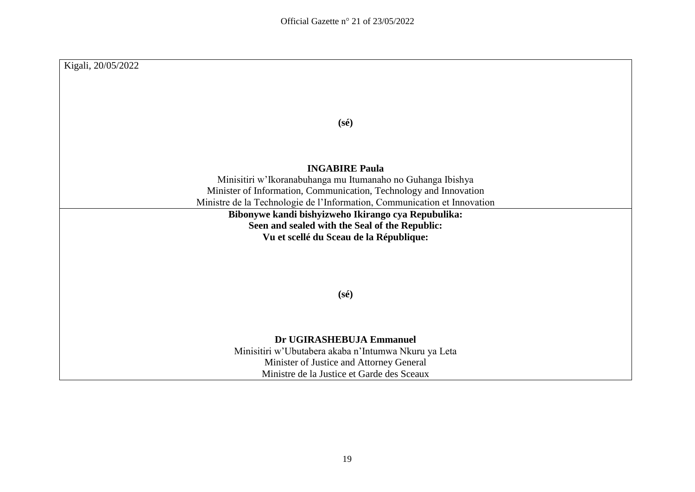| Kigali, 20/05/2022                                                                                    |
|-------------------------------------------------------------------------------------------------------|
|                                                                                                       |
|                                                                                                       |
|                                                                                                       |
|                                                                                                       |
| $(s\acute{e})$                                                                                        |
|                                                                                                       |
|                                                                                                       |
| <b>INGABIRE Paula</b>                                                                                 |
| Minisitiri w'Ikoranabuhanga mu Itumanaho no Guhanga Ibishya                                           |
| Minister of Information, Communication, Technology and Innovation                                     |
| Ministre de la Technologie de l'Information, Communication et Innovation                              |
| Bibonywe kandi bishyizweho Ikirango cya Repubulika:<br>Seen and sealed with the Seal of the Republic: |
| Vu et scellé du Sceau de la République:                                                               |
|                                                                                                       |
|                                                                                                       |
|                                                                                                       |
|                                                                                                       |
| $(s\acute{e})$                                                                                        |
|                                                                                                       |
|                                                                                                       |
| Dr UGIRASHEBUJA Emmanuel                                                                              |
| Minisitiri w'Ubutabera akaba n'Intumwa Nkuru ya Leta                                                  |
| Minister of Justice and Attorney General                                                              |
| Ministre de la Justice et Garde des Sceaux                                                            |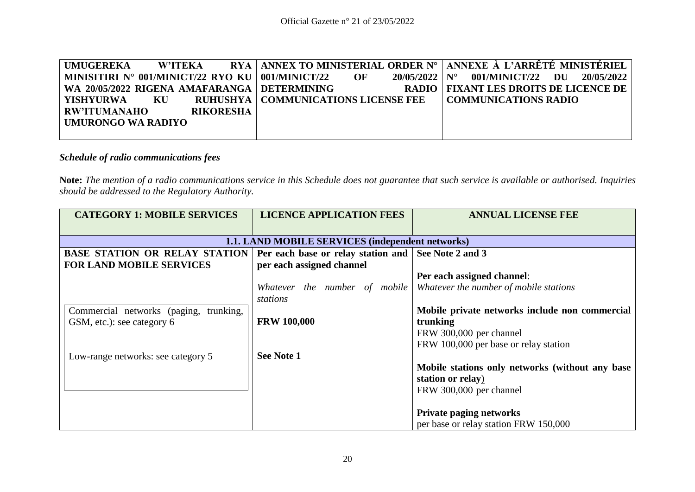| <b>UMUGEREKA</b>    | <b>W'ITEKA</b> |                  |                                                    |    |                                |                             | RYA   ANNEX TO MINISTERIAL ORDER N°   ANNEXE À L'ARRÊTÉ MINISTÉRIEL |
|---------------------|----------------|------------------|----------------------------------------------------|----|--------------------------------|-----------------------------|---------------------------------------------------------------------|
|                     |                |                  | MINISITIRI N° 001/MINICT/22 RYO KU   001/MINICT/22 | OF | $20/05/2022 \text{ N}^{\circ}$ | 001/MINICT/22               | 20/05/2022<br>DU                                                    |
|                     |                |                  | WA 20/05/2022 RIGENA AMAFARANGA DETERMINING        |    |                                |                             | <b>RADIO   FIXANT LES DROITS DE LICENCE DE</b>                      |
| YISHYURWA           | KU             |                  | <b>RUHUSHYA   COMMUNICATIONS LICENSE FEE</b>       |    |                                | <b>COMMUNICATIONS RADIO</b> |                                                                     |
| <b>RW'ITUMANAHO</b> |                | <b>RIKORESHA</b> |                                                    |    |                                |                             |                                                                     |
| UMURONGO WA RADIYO  |                |                  |                                                    |    |                                |                             |                                                                     |
|                     |                |                  |                                                    |    |                                |                             |                                                                     |

## *Schedule of radio communications fees*

**Note:** *The mention of a radio communications service in this Schedule does not guarantee that such service is available or authorised. Inquiries should be addressed to the Regulatory Authority.*

| <b>CATEGORY 1: MOBILE SERVICES</b>               | <b>LICENCE APPLICATION FEES</b>                     | <b>ANNUAL LICENSE FEE</b>                                            |  |  |  |  |  |
|--------------------------------------------------|-----------------------------------------------------|----------------------------------------------------------------------|--|--|--|--|--|
|                                                  |                                                     |                                                                      |  |  |  |  |  |
| 1.1. LAND MOBILE SERVICES (independent networks) |                                                     |                                                                      |  |  |  |  |  |
| <b>BASE STATION OR RELAY STATION</b>             | Per each base or relay station and See Note 2 and 3 |                                                                      |  |  |  |  |  |
| <b>FOR LAND MOBILE SERVICES</b>                  | per each assigned channel                           |                                                                      |  |  |  |  |  |
|                                                  |                                                     | Per each assigned channel:                                           |  |  |  |  |  |
|                                                  |                                                     | Whatever the number of mobile Whatever the number of mobile stations |  |  |  |  |  |
|                                                  | stations                                            |                                                                      |  |  |  |  |  |
| Commercial networks (paging, trunking,           |                                                     | Mobile private networks include non commercial                       |  |  |  |  |  |
| GSM, etc.): see category 6                       | <b>FRW 100,000</b>                                  | trunking                                                             |  |  |  |  |  |
|                                                  |                                                     | FRW 300,000 per channel                                              |  |  |  |  |  |
|                                                  |                                                     | FRW 100,000 per base or relay station                                |  |  |  |  |  |
| Low-range networks: see category 5               | See Note 1                                          |                                                                      |  |  |  |  |  |
|                                                  |                                                     | Mobile stations only networks (without any base                      |  |  |  |  |  |
|                                                  |                                                     | station or relay)                                                    |  |  |  |  |  |
|                                                  |                                                     | FRW 300,000 per channel                                              |  |  |  |  |  |
|                                                  |                                                     |                                                                      |  |  |  |  |  |
|                                                  |                                                     | <b>Private paging networks</b>                                       |  |  |  |  |  |
|                                                  |                                                     | per base or relay station FRW 150,000                                |  |  |  |  |  |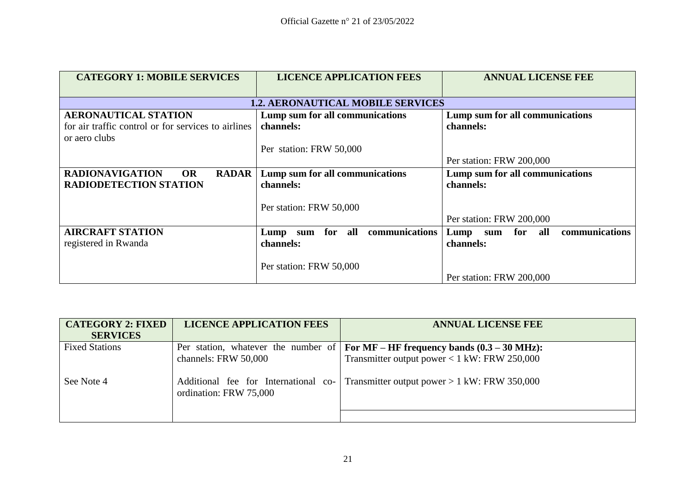| <b>CATEGORY 1: MOBILE SERVICES</b>                  | <b>LICENCE APPLICATION FEES</b>          | <b>ANNUAL LICENSE FEE</b>          |  |
|-----------------------------------------------------|------------------------------------------|------------------------------------|--|
|                                                     | <b>1.2. AERONAUTICAL MOBILE SERVICES</b> |                                    |  |
| <b>AERONAUTICAL STATION</b>                         | Lump sum for all communications          | Lump sum for all communications    |  |
| for air traffic control or for services to airlines | channels:                                | channels:                          |  |
| or aero clubs                                       |                                          |                                    |  |
|                                                     | Per station: FRW 50,000                  |                                    |  |
|                                                     |                                          | Per station: FRW 200,000           |  |
| <b>RADIONAVIGATION</b><br><b>OR</b><br><b>RADAR</b> | Lump sum for all communications          | Lump sum for all communications    |  |
| <b>RADIODETECTION STATION</b>                       | channels:                                | channels:                          |  |
|                                                     | Per station: FRW 50,000                  |                                    |  |
|                                                     |                                          | Per station: FRW 200,000           |  |
| <b>AIRCRAFT STATION</b>                             | communications<br>sum for all<br>Lump    | communications<br>Lump sum for all |  |
| registered in Rwanda                                | channels:                                | channels:                          |  |
|                                                     |                                          |                                    |  |
|                                                     | Per station: FRW 50,000                  |                                    |  |
|                                                     |                                          | Per station: FRW 200,000           |  |

| <b>CATEGORY 2: FIXED</b> | <b>LICENCE APPLICATION FEES</b>                                | <b>ANNUAL LICENSE FEE</b>                                                                          |
|--------------------------|----------------------------------------------------------------|----------------------------------------------------------------------------------------------------|
| <b>SERVICES</b>          |                                                                |                                                                                                    |
| <b>Fixed Stations</b>    |                                                                | Per station, whatever the number of $\vert$ For MF – HF frequency bands $(0.3 - 30 \text{ MHz})$ : |
|                          | channels: FRW 50,000                                           | Transmitter output power $< 1$ kW: FRW 250,000                                                     |
| See Note 4               | Additional fee for International co-<br>ordination: FRW 75,000 | Transmitter output power $> 1$ kW: FRW 350,000                                                     |
|                          |                                                                |                                                                                                    |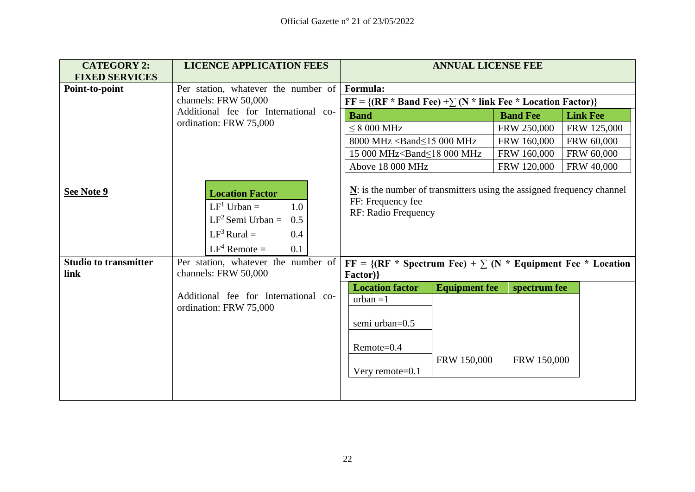| <b>CATEGORY 2:</b>                         | <b>LICENCE APPLICATION FEES</b>                                                                                                                                      | <b>ANNUAL LICENSE FEE</b>                                                                                                                                                                  |                             |  |  |
|--------------------------------------------|----------------------------------------------------------------------------------------------------------------------------------------------------------------------|--------------------------------------------------------------------------------------------------------------------------------------------------------------------------------------------|-----------------------------|--|--|
| <b>FIXED SERVICES</b>                      |                                                                                                                                                                      |                                                                                                                                                                                            |                             |  |  |
| Point-to-point                             | Per station, whatever the number of                                                                                                                                  | Formula:                                                                                                                                                                                   |                             |  |  |
|                                            | channels: FRW 50,000                                                                                                                                                 | $FF = \{ (RF * Band Fee) + \sum (N * link Fee * Location Factor) \}$                                                                                                                       |                             |  |  |
|                                            | Additional fee for International co-                                                                                                                                 | <b>Band</b><br><b>Band Fee</b><br><b>Link Fee</b>                                                                                                                                          |                             |  |  |
|                                            | ordination: FRW 75,000                                                                                                                                               | $< 8000$ MHz                                                                                                                                                                               | FRW 250,000<br>FRW 125,000  |  |  |
|                                            |                                                                                                                                                                      | 8000 MHz <band<15 000="" mhz<="" th=""><th>FRW 160,000<br/>FRW 60,000</th></band<15>                                                                                                       | FRW 160,000<br>FRW 60,000   |  |  |
|                                            |                                                                                                                                                                      | 15 000 MHz <band<18 000="" mhz<="" th=""><th>FRW 160,000<br/>FRW 60,000</th></band<18>                                                                                                     | FRW 160,000<br>FRW 60,000   |  |  |
|                                            |                                                                                                                                                                      | Above 18 000 MHz                                                                                                                                                                           | FRW 40,000<br>FRW 120,000   |  |  |
| See Note 9<br><b>Studio to transmitter</b> | <b>Location Factor</b><br>$LF1$ Urban =<br>1.0<br>$LF2$ Semi Urban =<br>0.5<br>$LF3 Rural =$<br>0.4<br>$LF^4$ Remote =<br>0.1<br>Per station, whatever the number of | $N$ : is the number of transmitters using the assigned frequency channel<br>FF: Frequency fee<br>RF: Radio Frequency<br>$FF = \{ (RF * Spectrum Fee) + \sum (N * Equipment Fee * Location$ |                             |  |  |
| link                                       | channels: FRW 50,000                                                                                                                                                 | Factor)}                                                                                                                                                                                   |                             |  |  |
|                                            | Additional fee for International co-<br>ordination: FRW 75,000                                                                                                       | <b>Location factor</b><br><b>Equipment fee</b><br>$urban = 1$<br>semi urban=0.5<br>Remote=0.4<br>FRW 150,000<br>Very remote= $0.1$                                                         | spectrum fee<br>FRW 150,000 |  |  |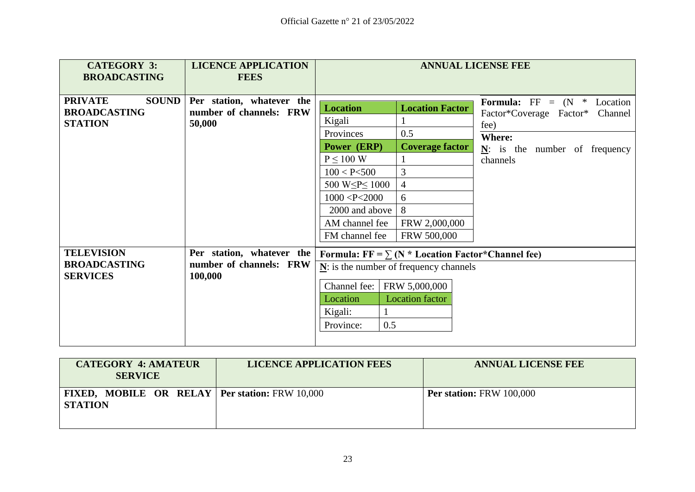| <b>CATEGORY 3:</b><br><b>BROADCASTING</b>                               | <b>LICENCE APPLICATION</b><br><b>FEES</b>                       |                                                                                                                                                                                               | <b>ANNUAL LICENSE FEE</b>                                                                                                |                                                                                                                                               |  |
|-------------------------------------------------------------------------|-----------------------------------------------------------------|-----------------------------------------------------------------------------------------------------------------------------------------------------------------------------------------------|--------------------------------------------------------------------------------------------------------------------------|-----------------------------------------------------------------------------------------------------------------------------------------------|--|
| <b>PRIVATE</b><br><b>SOUND</b><br><b>BROADCASTING</b><br><b>STATION</b> | Per station, whatever the<br>number of channels: FRW<br>50,000  | <b>Location</b><br>Kigali<br>Provinces<br>Power (ERP)<br>$P \leq 100$ W<br>100 < P < 500<br>500 W $\leq P \leq 1000$<br>1000 < P < 2000<br>2000 and above<br>AM channel fee<br>FM channel fee | <b>Location Factor</b><br>0.5<br><b>Coverage factor</b><br>3<br>$\overline{4}$<br>6<br>8<br>FRW 2,000,000<br>FRW 500,000 | <b>Formula:</b> $FF = (N * Location)$<br>Factor*Coverage Factor*<br>Channel<br>fee)<br>Where:<br>$N$ : is the number of frequency<br>channels |  |
| <b>TELEVISION</b><br><b>BROADCASTING</b><br><b>SERVICES</b>             | Per station, whatever the<br>number of channels: FRW<br>100,000 | Formula: $FF = \sum (N * Location Factor * Channel fee)$<br>$N$ : is the number of frequency channels<br>Channel fee:<br>Location<br>Kigali:<br>0.5<br>Province:                              | FRW 5,000,000<br><b>Location</b> factor                                                                                  |                                                                                                                                               |  |

| <b>CATEGORY 4: AMATEUR</b><br><b>SERVICE</b>                              | <b>LICENCE APPLICATION FEES</b> | <b>ANNUAL LICENSE FEE</b>       |  |
|---------------------------------------------------------------------------|---------------------------------|---------------------------------|--|
| <b>FIXED, MOBILE OR RELAY   Per station: FRW 10,000</b><br><b>STATION</b> |                                 | <b>Per station: FRW 100,000</b> |  |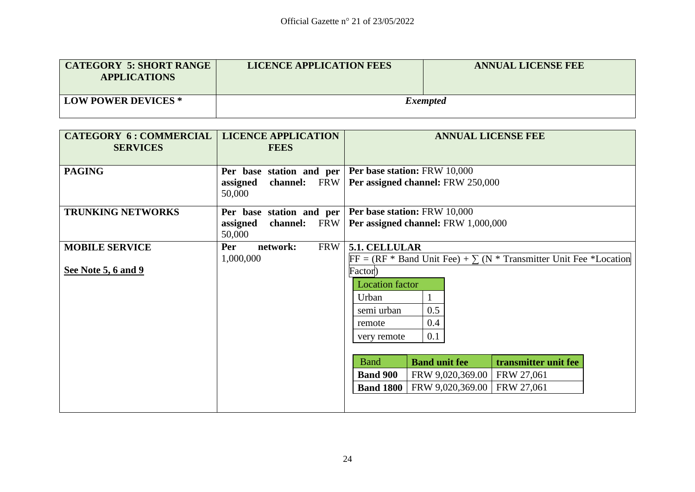| <b>CATEGORY 5: SHORT RANGE</b><br><b>APPLICATIONS</b> | <b>LICENCE APPLICATION FEES</b> | <b>ANNUAL LICENSE FEE</b> |
|-------------------------------------------------------|---------------------------------|---------------------------|
| <b>LOW POWER DEVICES *</b>                            |                                 | <i>Exempted</i>           |

| <b>CATEGORY 6: COMMERCIAL</b><br><b>SERVICES</b> | <b>LICENCE APPLICATION</b><br><b>FEES</b>                      | <b>ANNUAL LICENSE FEE</b>                                                 |
|--------------------------------------------------|----------------------------------------------------------------|---------------------------------------------------------------------------|
| <b>PAGING</b>                                    | Per base station and per<br>channel: FRW<br>assigned<br>50,000 | <b>Per base station: FRW 10,000</b><br>Per assigned channel: FRW 250,000  |
| <b>TRUNKING NETWORKS</b>                         | Per base station and per                                       | Per base station: FRW 10,000                                              |
|                                                  | <b>FRW</b><br>assigned<br>channel:<br>50,000                   | Per assigned channel: FRW 1,000,000                                       |
| <b>MOBILE SERVICE</b>                            | <b>FRW</b><br>network:<br>Per                                  | 5.1. CELLULAR                                                             |
|                                                  | 1,000,000                                                      | $FF = (RF * Band Unit Free) + \sum (N * Transmitter Unit Free *Location)$ |
| See Note 5, 6 and 9                              |                                                                | Factor)                                                                   |
|                                                  |                                                                | <b>Location</b> factor                                                    |
|                                                  |                                                                | Urban                                                                     |
|                                                  |                                                                | 0.5<br>semi urban                                                         |
|                                                  |                                                                | 0.4<br>remote                                                             |
|                                                  |                                                                | 0.1<br>very remote                                                        |
|                                                  |                                                                |                                                                           |
|                                                  |                                                                | transmitter unit fee<br><b>Band unit fee</b><br><b>B</b> and              |
|                                                  |                                                                | <b>Band 900</b><br>FRW 27,061<br>FRW 9,020,369.00                         |
|                                                  |                                                                | FRW 9,020,369.00<br>FRW 27,061<br><b>Band 1800</b>                        |
|                                                  |                                                                |                                                                           |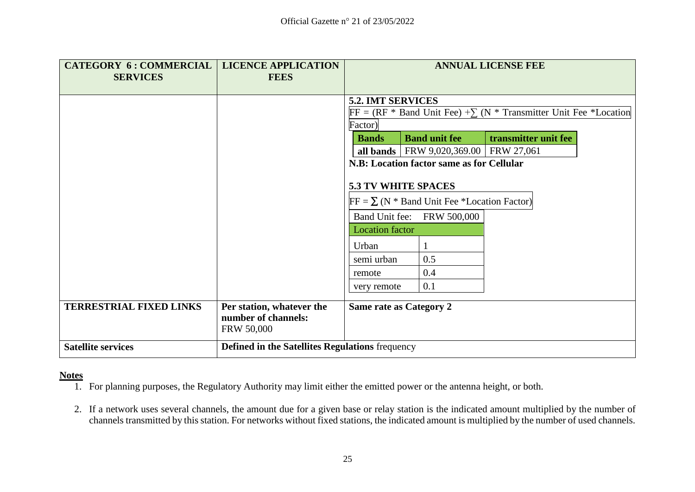| <b>CATEGORY 6: COMMERCIAL</b><br><b>SERVICES</b> | <b>LICENCE APPLICATION</b><br><b>FEES</b>                             |                                                           |                                           | <b>ANNUAL LICENSE FEE</b>                                                 |
|--------------------------------------------------|-----------------------------------------------------------------------|-----------------------------------------------------------|-------------------------------------------|---------------------------------------------------------------------------|
|                                                  |                                                                       |                                                           |                                           |                                                                           |
|                                                  |                                                                       | 5.2. IMT SERVICES                                         |                                           |                                                                           |
|                                                  |                                                                       |                                                           |                                           | $FF = (RF * Band Unit Free) + \sum (N * Transmitter Unit Free *Location)$ |
|                                                  |                                                                       | Factor)                                                   |                                           |                                                                           |
|                                                  |                                                                       | <b>Bands</b>                                              | <b>Band unit fee</b>                      | transmitter unit fee                                                      |
|                                                  |                                                                       | N.B: Location factor same as for Cellular                 | all bands   FRW 9,020,369.00   FRW 27,061 |                                                                           |
|                                                  |                                                                       |                                                           |                                           |                                                                           |
|                                                  |                                                                       | <b>5.3 TV WHITE SPACES</b>                                |                                           |                                                                           |
|                                                  |                                                                       | $FF = \sum (N * Band Unit \text{ Free *Location Factor})$ |                                           |                                                                           |
|                                                  |                                                                       |                                                           | Band Unit fee: FRW 500,000                |                                                                           |
|                                                  |                                                                       | <b>Location factor</b>                                    |                                           |                                                                           |
|                                                  |                                                                       | Urban                                                     |                                           |                                                                           |
|                                                  |                                                                       | semi urban                                                | 0.5                                       |                                                                           |
|                                                  |                                                                       | remote                                                    | 0.4                                       |                                                                           |
|                                                  |                                                                       | very remote                                               | 0.1                                       |                                                                           |
| <b>TERRESTRIAL FIXED LINKS</b>                   | Per station, whatever the<br>number of channels:<br><b>FRW 50,000</b> | Same rate as Category 2                                   |                                           |                                                                           |
| <b>Satellite services</b>                        | <b>Defined in the Satellites Regulations frequency</b>                |                                                           |                                           |                                                                           |

## **Notes**

- 1. For planning purposes, the Regulatory Authority may limit either the emitted power or the antenna height, or both.
- 2. If a network uses several channels, the amount due for a given base or relay station is the indicated amount multiplied by the number of channels transmitted by this station. For networks without fixed stations, the indicated amount is multiplied by the number of used channels.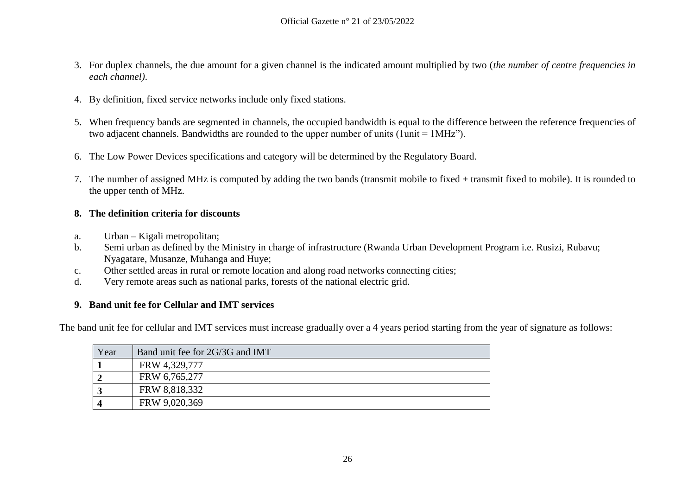- 3. For duplex channels, the due amount for a given channel is the indicated amount multiplied by two (*the number of centre frequencies in each channel)*.
- 4. By definition, fixed service networks include only fixed stations.
- 5. When frequency bands are segmented in channels, the occupied bandwidth is equal to the difference between the reference frequencies of two adjacent channels. Bandwidths are rounded to the upper number of units (1unit = 1MHz").
- 6. The Low Power Devices specifications and category will be determined by the Regulatory Board.
- 7. The number of assigned MHz is computed by adding the two bands (transmit mobile to fixed + transmit fixed to mobile). It is rounded to the upper tenth of MHz.

## **8. The definition criteria for discounts**

- a. Urban Kigali metropolitan;
- b. Semi urban as defined by the Ministry in charge of infrastructure (Rwanda Urban Development Program i.e. Rusizi, Rubavu; Nyagatare, Musanze, Muhanga and Huye;
- c. Other settled areas in rural or remote location and along road networks connecting cities;
- d. Very remote areas such as national parks, forests of the national electric grid.

## **9. Band unit fee for Cellular and IMT services**

The band unit fee for cellular and IMT services must increase gradually over a 4 years period starting from the year of signature as follows:

| Year       | Band unit fee for 2G/3G and IMT |
|------------|---------------------------------|
|            | FRW 4,329,777                   |
|            | FRW 6,765,277                   |
|            | FRW 8,818,332                   |
| $\sqrt{2}$ | FRW 9,020,369                   |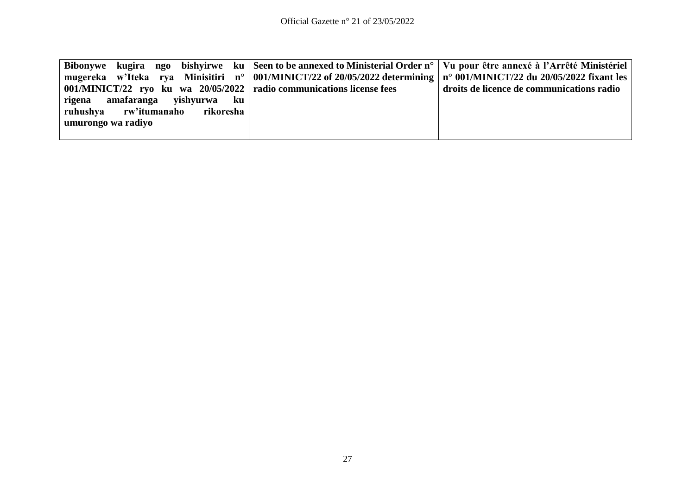|                                 |  |  |                                                                        | Bibonywe kugira ngo bishyirwe ku Seen to be annexed to Ministerial Order n°   Vu pour être annexé à l'Arrêté Ministériel |
|---------------------------------|--|--|------------------------------------------------------------------------|--------------------------------------------------------------------------------------------------------------------------|
|                                 |  |  |                                                                        | mugereka w'Iteka rya Minisitiri n° 001/MINICT/22 of 20/05/2022 determining n° 001/MINICT/22 du 20/05/2022 fixant les     |
|                                 |  |  | 001/MINICT/22 ryo ku wa 20/05/2022   radio communications license fees | droits de licence de communications radio                                                                                |
| rigena amafaranga yishyurwa ku  |  |  |                                                                        |                                                                                                                          |
| ruhushya rw'itumanaho rikoresha |  |  |                                                                        |                                                                                                                          |
| umurongo wa radiyo              |  |  |                                                                        |                                                                                                                          |
|                                 |  |  |                                                                        |                                                                                                                          |